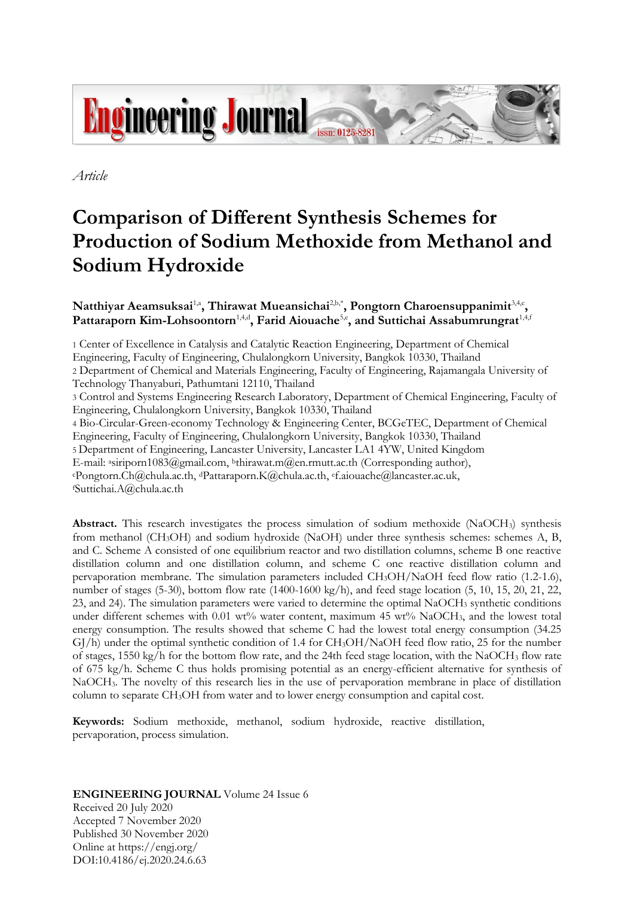

*Article*

# **Comparison of Different Synthesis Schemes for Production of Sodium Methoxide from Methanol and Sodium Hydroxide**

## $N$ atthiyar Aeamsuksai<sup>1,a</sup>, Thirawat Mueansichai<sup>2,b,\*</sup>, Pongtorn Charoensuppanimit<sup>3,4,c</sup>, Pattaraporn Kim-Lohsoontorn<sup>1,4,d</sup>, Farid Aiouache<sup>5,e</sup>, and Suttichai Assabumrungrat<sup>1,4,t</sup>

1 Center of Excellence in Catalysis and Catalytic Reaction Engineering, Department of Chemical Engineering, Faculty of Engineering, Chulalongkorn University, Bangkok 10330, Thailand 2 Department of Chemical and Materials Engineering, Faculty of Engineering, Rajamangala University of Technology Thanyaburi, Pathumtani 12110, Thailand

3 Control and Systems Engineering Research Laboratory, Department of Chemical Engineering, Faculty of Engineering, Chulalongkorn University, Bangkok 10330, Thailand

4 Bio-Circular-Green-economy Technology & Engineering Center, BCGeTEC, Department of Chemical Engineering, Faculty of Engineering, Chulalongkorn University, Bangkok 10330, Thailand 5 Department of Engineering, Lancaster University, Lancaster LA1 4YW, United Kingdom E-mail: asiriporn1083@gmail.com, <sup>b</sup>thirawat.m@en.rmutt.ac.th (Corresponding author), <sup>c</sup>Pongtorn.Ch@chula.ac.th, dPattaraporn.K@chula.ac.th, ef.aiouache@lancaster.ac.uk, <sup>f</sup>Suttichai.A@chula.ac.th

**Abstract.** This research investigates the process simulation of sodium methoxide (NaOCH<sub>3</sub>) synthesis from methanol (CH3OH) and sodium hydroxide (NaOH) under three synthesis schemes: schemes A, B, and C. Scheme A consisted of one equilibrium reactor and two distillation columns, scheme B one reactive distillation column and one distillation column, and scheme C one reactive distillation column and pervaporation membrane. The simulation parameters included CH3OH/NaOH feed flow ratio (1.2-1.6), number of stages (5-30), bottom flow rate (1400-1600 kg/h), and feed stage location (5, 10, 15, 20, 21, 22, 23, and 24). The simulation parameters were varied to determine the optimal NaOCH<sup>3</sup> synthetic conditions under different schemes with 0.01 wt% water content, maximum 45 wt% NaOCH<sub>3</sub>, and the lowest total energy consumption. The results showed that scheme C had the lowest total energy consumption (34.25 GJ/h) under the optimal synthetic condition of 1.4 for CH3OH/NaOH feed flow ratio, 25 for the number of stages, 1550 kg/h for the bottom flow rate, and the 24th feed stage location, with the NaOCH<sup>3</sup> flow rate of 675 kg/h. Scheme C thus holds promising potential as an energy-efficient alternative for synthesis of NaOCH3. The novelty of this research lies in the use of pervaporation membrane in place of distillation column to separate CH3OH from water and to lower energy consumption and capital cost.

**Keywords:** Sodium methoxide, methanol, sodium hydroxide, reactive distillation, pervaporation, process simulation.

**ENGINEERING JOURNAL** Volume 24 Issue 6 Received 20 July 2020 Accepted 7 November 2020 Published 30 November 2020 Online at https://engj.org/ DOI:10.4186/ej.2020.24.6.63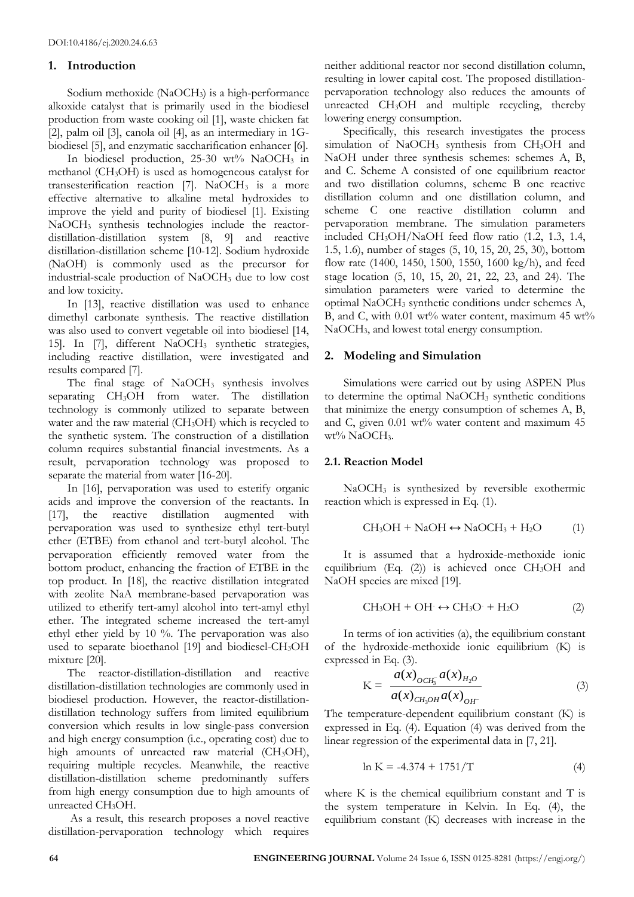## **1. Introduction**

Sodium methoxide (NaOCH<sub>3</sub>) is a high-performance alkoxide catalyst that is primarily used in the biodiesel production from waste cooking oil [1], waste chicken fat [2], palm oil [3], canola oil [4], as an intermediary in 1Gbiodiesel [5], and enzymatic saccharification enhancer [6].

In biodiesel production, 25-30 wt% NaOCH<sub>3</sub> in methanol (CH3OH) is used as homogeneous catalyst for transesterification reaction  $[7]$ . NaOCH<sub>3</sub> is a more effective alternative to alkaline metal hydroxides to improve the yield and purity of biodiesel [1]. Existing NaOCH<sup>3</sup> synthesis technologies include the reactordistillation-distillation system [8, 9] and reactive distillation-distillation scheme [10-12]. Sodium hydroxide (NaOH) is commonly used as the precursor for industrial-scale production of NaOCH<sup>3</sup> due to low cost and low toxicity.

In [13], reactive distillation was used to enhance dimethyl carbonate synthesis. The reactive distillation was also used to convert vegetable oil into biodiesel [14, 15]. In [7], different NaOCH<sub>3</sub> synthetic strategies, including reactive distillation, were investigated and results compared [7].

The final stage of NaOCH<sub>3</sub> synthesis involves separating CH3OH from water. The distillation technology is commonly utilized to separate between water and the raw material (CH<sub>3</sub>OH) which is recycled to the synthetic system. The construction of a distillation column requires substantial financial investments. As a result, pervaporation technology was proposed to separate the material from water [16-20].

In [16], pervaporation was used to esterify organic acids and improve the conversion of the reactants. In [17], the reactive distillation augmented with pervaporation was used to synthesize ethyl tert-butyl ether (ETBE) from ethanol and tert-butyl alcohol. The pervaporation efficiently removed water from the bottom product, enhancing the fraction of ETBE in the top product. In [18], the reactive distillation integrated with zeolite NaA membrane-based pervaporation was utilized to etherify tert-amyl alcohol into tert-amyl ethyl ether. The integrated scheme increased the tert-amyl ethyl ether yield by 10 %. The pervaporation was also used to separate bioethanol [19] and biodiesel-CH<sub>3</sub>OH mixture [20].

The reactor-distillation-distillation and reactive distillation-distillation technologies are commonly used in biodiesel production. However, the reactor-distillationdistillation technology suffers from limited equilibrium conversion which results in low single-pass conversion and high energy consumption (i.e., operating cost) due to high amounts of unreacted raw material (CH<sub>3</sub>OH), requiring multiple recycles. Meanwhile, the reactive distillation-distillation scheme predominantly suffers from high energy consumption due to high amounts of unreacted CH<sub>3</sub>OH.

As a result, this research proposes a novel reactive distillation-pervaporation technology which requires neither additional reactor nor second distillation column, resulting in lower capital cost. The proposed distillationpervaporation technology also reduces the amounts of unreacted CH3OH and multiple recycling, thereby lowering energy consumption.

Specifically, this research investigates the process simulation of NaOCH<sub>3</sub> synthesis from CH<sub>3</sub>OH and NaOH under three synthesis schemes: schemes A, B, and C. Scheme A consisted of one equilibrium reactor and two distillation columns, scheme B one reactive distillation column and one distillation column, and scheme C one reactive distillation column and pervaporation membrane. The simulation parameters included CH3OH/NaOH feed flow ratio (1.2, 1.3, 1.4, 1.5, 1.6), number of stages (5, 10, 15, 20, 25, 30), bottom flow rate (1400, 1450, 1500, 1550, 1600 kg/h), and feed stage location (5, 10, 15, 20, 21, 22, 23, and 24). The simulation parameters were varied to determine the optimal NaOCH<sup>3</sup> synthetic conditions under schemes A, B, and C, with  $0.01$  wt% water content, maximum  $45$  wt% NaOCH<sub>3</sub>, and lowest total energy consumption.

## **2. Modeling and Simulation**

Simulations were carried out by using ASPEN Plus to determine the optimal NaOCH<sup>3</sup> synthetic conditions that minimize the energy consumption of schemes A, B, and C, given 0.01 wt% water content and maximum 45 wt% NaOCH<sub>3</sub>.

## **2.1. Reaction Model**

NaOCH<sup>3</sup> is synthesized by reversible exothermic reaction which is expressed in Eq. (1).

$$
CH3OH + NaOH \leftrightarrow NaOCH3 + H2O
$$
 (1)

It is assumed that a hydroxide-methoxide ionic equilibrium (Eq.  $(2)$ ) is achieved once CH<sub>3</sub>OH and NaOH species are mixed [19].

$$
CH_3OH + OH \leftrightarrow CH_3O^+ + H_2O \tag{2}
$$

In terms of ion activities (a), the equilibrium constant of the hydroxide-methoxide ionic equilibrium (K) is expressed in Eq. (3).

$$
K = \frac{a(x)_{OCH_3^-} a(x)_{H_2O}}{a(x)_{CH_3OH} a(x)_{OH}}
$$
 (3)

The temperature-dependent equilibrium constant (K) is expressed in Eq. (4). Equation (4) was derived from the linear regression of the experimental data in [7, 21].

$$
\ln K = -4.374 + 1751/T \tag{4}
$$

where K is the chemical equilibrium constant and T is the system temperature in Kelvin. In Eq. (4), the equilibrium constant (K) decreases with increase in the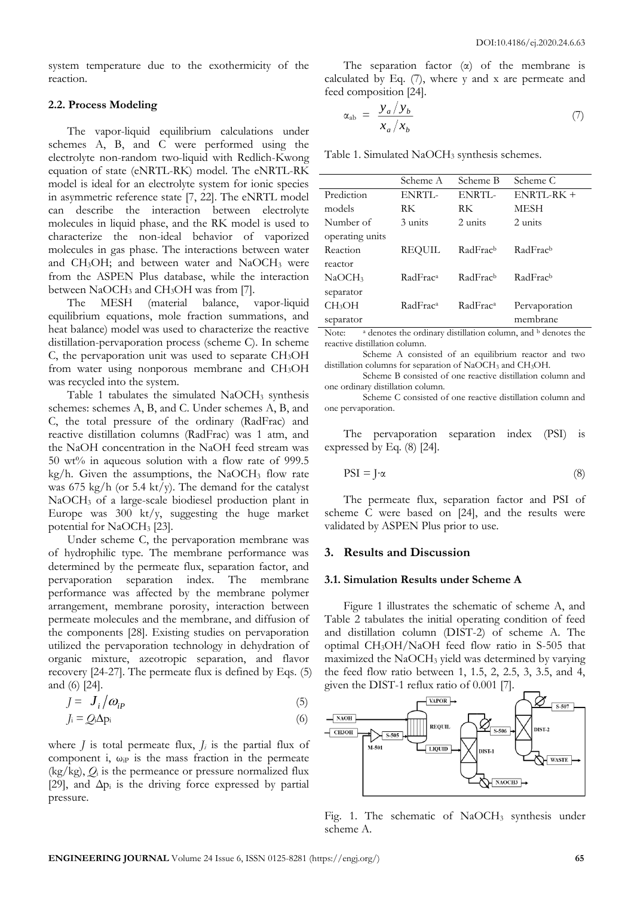system temperature due to the exothermicity of the reaction.

#### **2.2. Process Modeling**

The vapor-liquid equilibrium calculations under schemes A, B, and C were performed using the electrolyte non-random two-liquid with Redlich-Kwong equation of state (eNRTL-RK) model. The eNRTL-RK model is ideal for an electrolyte system for ionic species in asymmetric reference state [7, 22]. The eNRTL model can describe the interaction between electrolyte molecules in liquid phase, and the RK model is used to characterize the non-ideal behavior of vaporized molecules in gas phase. The interactions between water and CH<sub>3</sub>OH; and between water and NaOCH<sub>3</sub> were from the ASPEN Plus database, while the interaction between NaOCH<sub>3</sub> and CH<sub>3</sub>OH was from [7].

The MESH (material balance, vapor-liquid equilibrium equations, mole fraction summations, and heat balance) model was used to characterize the reactive distillation-pervaporation process (scheme C). In scheme  $C$ , the pervaporation unit was used to separate  $CH<sub>3</sub>OH$ from water using nonporous membrane and CH3OH was recycled into the system.

Table 1 tabulates the simulated  $NaOCH<sub>3</sub>$  synthesis schemes: schemes A, B, and C. Under schemes A, B, and C, the total pressure of the ordinary (RadFrac) and reactive distillation columns (RadFrac) was 1 atm, and the NaOH concentration in the NaOH feed stream was 50 wt% in aqueous solution with a flow rate of 999.5 kg/h. Given the assumptions, the NaOCH<sub>3</sub> flow rate was 675 kg/h (or 5.4 kt/y). The demand for the catalyst NaOCH<sup>3</sup> of a large-scale biodiesel production plant in Europe was  $300 \text{ kt/y}$ , suggesting the huge market potential for NaOCH<sub>3</sub> [23].

Under scheme C, the pervaporation membrane was of hydrophilic type. The membrane performance was determined by the permeate flux, separation factor, and pervaporation separation index. The membrane performance was affected by the membrane polymer arrangement, membrane porosity, interaction between permeate molecules and the membrane, and diffusion of the components [28]. Existing studies on pervaporation utilized the pervaporation technology in dehydration of organic mixture, azeotropic separation, and flavor recovery [24-27]. The permeate flux is defined by Eqs. (5) and (6) [24].

$$
J = J_i / \omega_{ip} \tag{5}
$$

$$
J_i = Q_i \Delta p_i \tag{6}
$$

where  $J$  is total permeate flux,  $J_i$  is the partial flux of component i,  $\omega_{\text{IP}}$  is the mass fraction in the permeate  $(kg/kg)$ ,  $Q_i$  is the permeance or pressure normalized flux [29], and  $\Delta p_i$  is the driving force expressed by partial pressure.

The separation factor  $(\alpha)$  of the membrane is calculated by Eq. (7), where y and x are permeate and feed composition [24].

$$
\alpha_{ab} = \frac{y_a/y_b}{x_a/x_b} \tag{7}
$$

Table 1. Simulated NaOCH<sub>3</sub> synthesis schemes.

|                               | Scheme A             | Scheme B              | Scheme C      |
|-------------------------------|----------------------|-----------------------|---------------|
| Prediction                    | ENRTI-               | ENRTL                 | ENRTL-RK +    |
| models                        | RK                   | RK                    | MESH          |
| Number of                     | 3 units              | 2 units               | 2 units       |
| operating units               |                      |                       |               |
| Reaction                      | REQUIL               | RadFracb              | RadFracb      |
| reactor                       |                      |                       |               |
| NaOCH <sub>3</sub>            | RadFrac <sup>a</sup> | RadFracb              | RadFracb      |
| separator                     |                      |                       |               |
| CH <sub>3</sub> OH            | RadFrac <sup>a</sup> | RadFrac <sup>a</sup>  | Pervaporation |
| separator                     |                      |                       | membrane      |
| $\mathbf{I}$<br>$\sim$ $\sim$ | $\cdot$<br>$\cdot$   | $-11$<br>$\mathbf{I}$ |               |

Note: <sup>a</sup> denotes the ordinary distillation column, and <sup>b</sup> denotes the reactive distillation column.

Scheme A consisted of an equilibrium reactor and two distillation columns for separation of NaOCH<sup>3</sup> and CH3OH.

Scheme B consisted of one reactive distillation column and one ordinary distillation column.

Scheme C consisted of one reactive distillation column and one pervaporation.

The pervaporation separation index (PSI) is expressed by Eq. (8) [24].

$$
PSI = J \cdot \alpha \tag{8}
$$

The permeate flux, separation factor and PSI of scheme C were based on [24], and the results were validated by ASPEN Plus prior to use.

#### **3. Results and Discussion**

#### **3.1. Simulation Results under Scheme A**

Figure 1 illustrates the schematic of scheme A, and Table 2 tabulates the initial operating condition of feed and distillation column (DIST-2) of scheme A. The optimal CH3OH/NaOH feed flow ratio in S-505 that maximized the NaOCH<sup>3</sup> yield was determined by varying the feed flow ratio between 1, 1.5, 2, 2.5, 3, 3.5, and 4, given the DIST-1 reflux ratio of 0.001 [7].



Fig. 1. The schematic of  $NaOCH<sub>3</sub>$  synthesis under scheme A.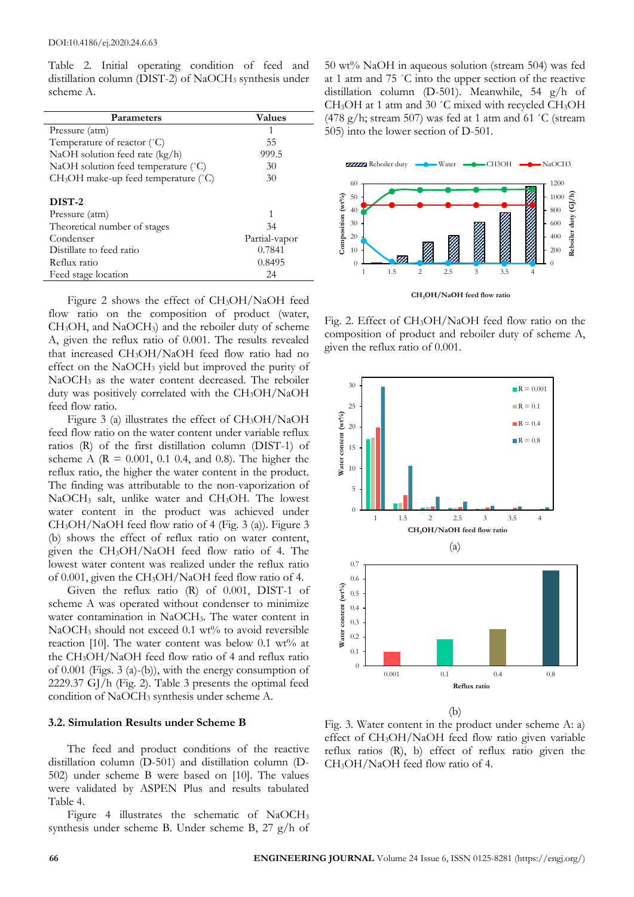Table 2. Initial operating condition of feed and distillation column (DIST-2) of NaOCH<sub>3</sub> synthesis under scheme A.

| Parameters                                       | <b>Values</b> |
|--------------------------------------------------|---------------|
| Pressure (atm)                                   | 1             |
| Temperature of reactor (°C)                      | 55            |
| NaOH solution feed rate $(kg/h)$                 | 999.5         |
| NaOH solution feed temperature (°C)              | 30            |
| $CH3OH$ make-up feed temperature ( $^{\circ}C$ ) | 30            |
|                                                  |               |
| DIST-2                                           |               |
| Pressure (atm)                                   | 1             |
| Theoretical number of stages                     | 34            |
| Condenser                                        | Partial-vapor |
| Distillate to feed ratio                         | 0.7841        |
| Reflux ratio                                     | 0.8495        |
| Feed stage location                              | 24            |

Figure 2 shows the effect of CH3OH/NaOH feed flow ratio on the composition of product (water, CH3OH, and NaOCH3) and the reboiler duty of scheme A, given the reflux ratio of 0.001. The results revealed that increased CH3OH/NaOH feed flow ratio had no effect on the NaOCH<sup>3</sup> yield but improved the purity of NaOCH<sup>3</sup> as the water content decreased. The reboiler duty was positively correlated with the CH3OH/NaOH feed flow ratio.

Figure 3 (a) illustrates the effect of CH3OH/NaOH feed flow ratio on the water content under variable reflux ratios (R) of the first distillation column (DIST-1) of scheme A ( $R = 0.001$ , 0.1 0.4, and 0.8). The higher the reflux ratio, the higher the water content in the product. The finding was attributable to the non-vaporization of NaOCH<sub>3</sub> salt, unlike water and CH<sub>3</sub>OH. The lowest water content in the product was achieved under CH3OH/NaOH feed flow ratio of 4 (Fig. 3 (a)). Figure 3 (b) shows the effect of reflux ratio on water content, given the CH3OH/NaOH feed flow ratio of 4. The lowest water content was realized under the reflux ratio of 0.001, given the CH3OH/NaOH feed flow ratio of 4.

Given the reflux ratio (R) of 0.001, DIST-1 of scheme A was operated without condenser to minimize water contamination in NaOCH<sub>3</sub>. The water content in  $NaOCH<sub>3</sub>$  should not exceed 0.1 wt% to avoid reversible reaction [10]. The water content was below  $0.1$  wt% at the CH3OH/NaOH feed flow ratio of 4 and reflux ratio of 0.001 (Figs. 3 (a)-(b)), with the energy consumption of 2229.37 GJ/h (Fig. 2). Table 3 presents the optimal feed condition of NaOCH<sup>3</sup> synthesis under scheme A.

#### **3.2. Simulation Results under Scheme B**

The feed and product conditions of the reactive distillation column (D-501) and distillation column (D-502) under scheme B were based on [10]. The values were validated by ASPEN Plus and results tabulated Table 4.

Figure 4 illustrates the schematic of NaOCH<sup>3</sup> synthesis under scheme B. Under scheme B, 27 g/h of

50 wt% NaOH in aqueous solution (stream 504) was fed at 1 atm and 75 ˚C into the upper section of the reactive distillation column (D-501). Meanwhile, 54 g/h of CH3OH at 1 atm and 30 ˚C mixed with recycled CH3OH (478 g/h; stream 507) was fed at 1 atm and 61  $\degree$ C (stream 505) into the lower section of D-501.



Fig. 2. Effect of CH3OH/NaOH feed flow ratio on the composition of product and reboiler duty of scheme A, given the reflux ratio of 0.001.



Fig. 3. Water content in the product under scheme A: a) effect of CH3OH/NaOH feed flow ratio given variable reflux ratios (R), b) effect of reflux ratio given the CH3OH/NaOH feed flow ratio of 4.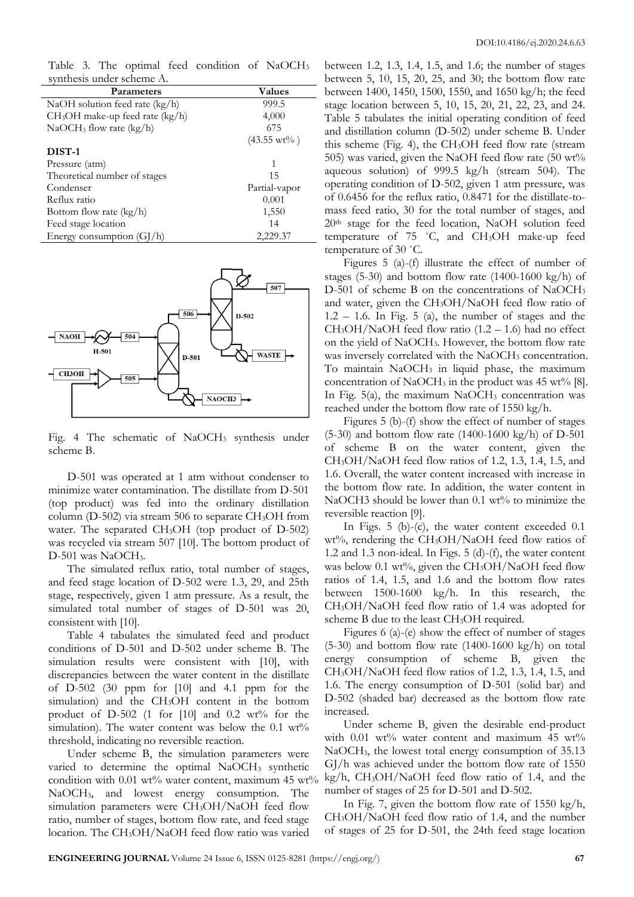| Table 3. The optimal feed condition of NaOCH <sub>3</sub> |               |
|-----------------------------------------------------------|---------------|
| synthesis under scheme A.                                 |               |
| <b>Parameters</b>                                         | <b>Values</b> |
| NaOH solution feed rate (kg/h)                            | 999.5         |
|                                                           | $\cdots$      |

| $CH3OH$ make-up feed rate (kg/h) | 4,000                |
|----------------------------------|----------------------|
| $NaOCH3$ flow rate (kg/h)        | 675                  |
|                                  | $(43.55 \text{ wt})$ |
| DIST-1                           |                      |
| Pressure (atm)                   | 1                    |
| Theoretical number of stages     | 15                   |
| Condenser                        | Partial-vapor        |
| Reflux ratio                     | 0.001                |
| Bottom flow rate (kg/h)          | 1,550                |
| Feed stage location              | 14                   |
| Energy consumption $(GJ/h)$      | 2,229.37             |



Fig. 4 The schematic of NaOCH<sub>3</sub> synthesis under scheme B.

D-501 was operated at 1 atm without condenser to minimize water contamination. The distillate from D-501 (top product) was fed into the ordinary distillation column (D-502) via stream 506 to separate  $CH<sub>3</sub>OH$  from water. The separated CH<sub>3</sub>OH (top product of D-502) was recycled via stream 507 [10]. The bottom product of D-501 was NaOCH<sub>3</sub>.

The simulated reflux ratio, total number of stages, and feed stage location of D-502 were 1.3, 29, and 25th stage, respectively, given 1 atm pressure. As a result, the simulated total number of stages of D-501 was 20, consistent with [10].

Table 4 tabulates the simulated feed and product conditions of D-501 and D-502 under scheme B. The simulation results were consistent with [10], with discrepancies between the water content in the distillate of D-502 (30 ppm for [10] and 4.1 ppm for the simulation) and the CH<sub>3</sub>OH content in the bottom product of D-502 (1 for  $[10]$  and 0.2 wt% for the simulation). The water content was below the  $0.1 \text{ wt\%}$ threshold, indicating no reversible reaction.

Under scheme B, the simulation parameters were varied to determine the optimal  $NaOCH<sub>3</sub>$  synthetic condition with  $0.01$  wt% water content, maximum  $45$  wt% NaOCH3, and lowest energy consumption. The simulation parameters were  $CH<sub>3</sub>OH/NaOH$  feed flow ratio, number of stages, bottom flow rate, and feed stage location. The CH3OH/NaOH feed flow ratio was varied

between 1.2, 1.3, 1.4, 1.5, and 1.6; the number of stages between 5, 10, 15, 20, 25, and 30; the bottom flow rate between 1400, 1450, 1500, 1550, and 1650 kg/h; the feed stage location between 5, 10, 15, 20, 21, 22, 23, and 24. Table 5 tabulates the initial operating condition of feed and distillation column (D-502) under scheme B. Under this scheme (Fig. 4), the  $CH<sub>3</sub>OH$  feed flow rate (stream 505) was varied, given the NaOH feed flow rate (50 wt% aqueous solution) of 999.5 kg/h (stream 504). The operating condition of D-502, given 1 atm pressure, was of 0.6456 for the reflux ratio, 0.8471 for the distillate-tomass feed ratio, 30 for the total number of stages, and 20th stage for the feed location, NaOH solution feed temperature of 75 ˚C, and CH3OH make-up feed temperature of 30 ˚C.

Figures 5 (a)-(f) illustrate the effect of number of stages (5-30) and bottom flow rate  $(1400-1600 \text{ kg/h})$  of D-501 of scheme B on the concentrations of NaOCH<sub>3</sub> and water, given the CH3OH/NaOH feed flow ratio of  $1.2 - 1.6$ . In Fig. 5 (a), the number of stages and the  $CH<sub>3</sub>OH/NaOH$  feed flow ratio (1.2 – 1.6) had no effect on the yield of NaOCH3. However, the bottom flow rate was inversely correlated with the NaOCH<sub>3</sub> concentration. To maintain NaOCH<sup>3</sup> in liquid phase, the maximum concentration of NaOCH<sub>3</sub> in the product was 45 wt% [8]. In Fig.  $5(a)$ , the maximum NaOCH<sub>3</sub> concentration was reached under the bottom flow rate of 1550 kg/h.

Figures 5 (b)-(f) show the effect of number of stages (5-30) and bottom flow rate (1400-1600 kg/h) of D-501 of scheme B on the water content, given the CH3OH/NaOH feed flow ratios of 1.2, 1.3, 1.4, 1.5, and 1.6. Overall, the water content increased with increase in the bottom flow rate. In addition, the water content in NaOCH3 should be lower than 0.1 wt% to minimize the reversible reaction [9].

In Figs. 5 (b)-(c), the water content exceeded 0.1 wt%, rendering the CH<sub>3</sub>OH/NaOH feed flow ratios of 1.2 and 1.3 non-ideal. In Figs. 5 (d)-(f), the water content was below 0.1 wt%, given the  $CH<sub>3</sub>OH/NaOH$  feed flow ratios of 1.4, 1.5, and 1.6 and the bottom flow rates between 1500-1600 kg/h. In this research, the CH3OH/NaOH feed flow ratio of 1.4 was adopted for scheme B due to the least CH<sub>3</sub>OH required.

Figures 6 (a)-(e) show the effect of number of stages  $(5-30)$  and bottom flow rate  $(1400-1600 \text{ kg/h})$  on total energy consumption of scheme B, given the  $CH<sub>3</sub>OH/NaOH$  feed flow ratios of 1.2, 1.3, 1.4, 1.5, and 1.6. The energy consumption of D-501 (solid bar) and D-502 (shaded bar) decreased as the bottom flow rate increased.

Under scheme B, given the desirable end-product with 0.01 wt% water content and maximum 45 wt% NaOCH3, the lowest total energy consumption of 35.13 GJ/h was achieved under the bottom flow rate of 1550  $kg/h$ , CH<sub>3</sub>OH/NaOH feed flow ratio of 1.4, and the number of stages of 25 for D-501 and D-502.

In Fig. 7, given the bottom flow rate of 1550 kg/h, CH3OH/NaOH feed flow ratio of 1.4, and the number of stages of 25 for D-501, the 24th feed stage location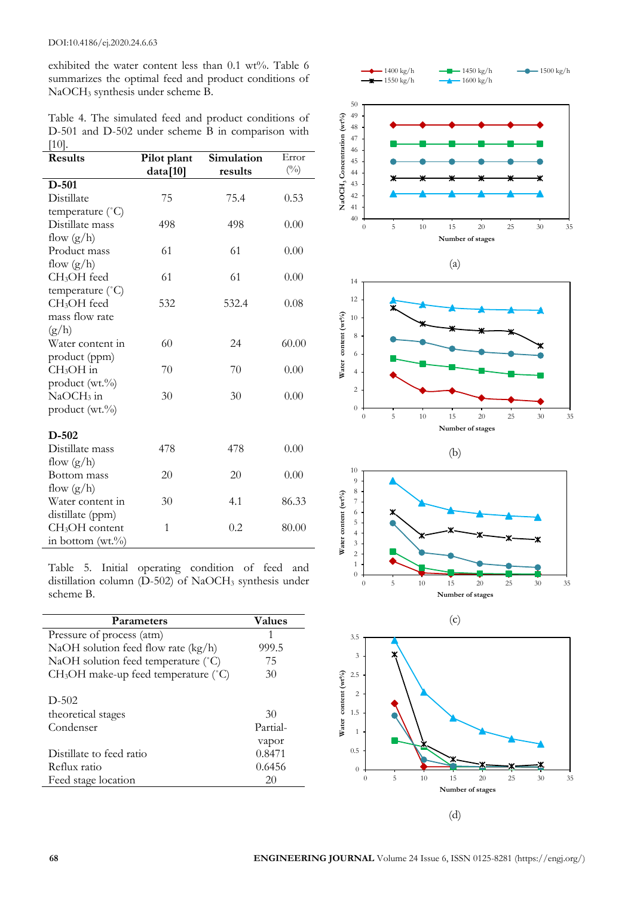exhibited the water content less than 0.1 wt%. Table 6 summarizes the optimal feed and product conditions of NaOCH<sup>3</sup> synthesis under scheme B.

Table 4. The simulated feed and product conditions of D-501 and D-502 under scheme B in comparison with [10].

| <b>Results</b>             | Pilot plant | Simulation | Error        |
|----------------------------|-------------|------------|--------------|
|                            | data[10]    | results    | $(^{0}_{0})$ |
| $D-501$                    |             |            |              |
| Distillate                 | 75          | 75.4       | 0.53         |
| temperature (°C)           |             |            |              |
| Distillate mass            | 498         | 498        | 0.00         |
| flow $(g/h)$               |             |            |              |
| Product mass               | 61          | 61         | 0.00         |
| flow $(g/h)$               |             |            |              |
| CH <sub>3</sub> OH feed    | 61          | 61         | 0.00         |
| temperature (°C)           |             |            |              |
| CH <sub>3</sub> OH feed    | 532         | 532.4      | 0.08         |
| mass flow rate             |             |            |              |
| (g/h)                      |             |            |              |
| Water content in           | 60          | 24         | 60.00        |
| product (ppm)              |             |            |              |
| $CH3OH$ in                 | 70          | 70         | 0.00         |
| product (wt.%)             |             |            |              |
| $NaOCH3$ in                | 30          | 30         | 0.00         |
| product (wt.%)             |             |            |              |
|                            |             |            |              |
| $D-502$                    |             |            |              |
| Distillate mass            | 478         | 478        | 0.00         |
| flow $(g/h)$               |             |            |              |
| Bottom mass                | 20          | 20         | 0.00         |
| flow $(g/h)$               |             |            |              |
| Water content in           | 30          | 4.1        | 86.33        |
| distillate (ppm)           |             |            |              |
| CH <sub>3</sub> OH content | 1           | 0.2        | 80.00        |
| in bottom $(wt.^{9}/_{0})$ |             |            |              |

Table 5. Initial operating condition of feed and distillation column  $(D-502)$  of NaOCH<sub>3</sub> synthesis under scheme B.

| <b>Parameters</b>                                | Values   |
|--------------------------------------------------|----------|
| Pressure of process (atm)                        | 1        |
| NaOH solution feed flow rate (kg/h)              | 999.5    |
| NaOH solution feed temperature (°C)              | 75       |
| CH <sub>3</sub> OH make-up feed temperature (°C) | 30       |
|                                                  |          |
| $D-502$                                          |          |
| theoretical stages                               | 30       |
| Condenser                                        | Partial- |
|                                                  | vapor    |
| Distillate to feed ratio                         | 0.8471   |
| Reflux ratio                                     | 0.6456   |
| Feed stage location                              | 20       |





l,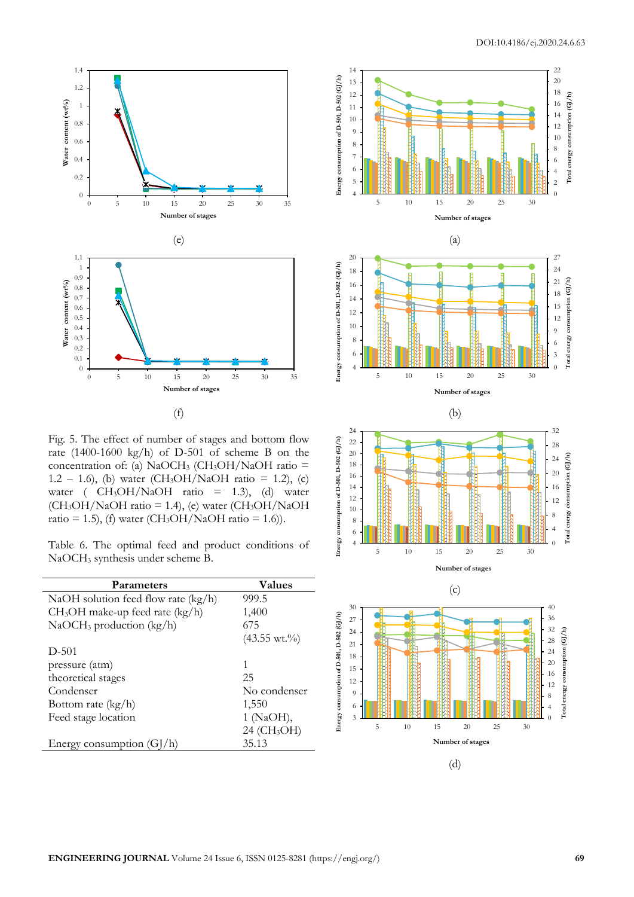



Fig. 5. The effect of number of stages and bottom flow rate (1400-1600 kg/h) of D-501 of scheme B on the concentration of: (a) NaOCH<sub>3</sub> (CH<sub>3</sub>OH/NaOH ratio = 1.2 – 1.6), (b) water (CH<sub>3</sub>OH/NaOH ratio = 1.2), (c) water (  $CH<sub>3</sub>OH/NaOH$  ratio = 1.3), (d) water  $(CH<sub>3</sub>OH/NaOH ratio = 1.4)$ , (e) water  $(CH<sub>3</sub>OH/NaOH$ ratio = 1.5), (f) water (CH<sub>3</sub>OH/NaOH ratio = 1.6)).

|  |                                    |  | Table 6. The optimal feed and product conditions of |  |
|--|------------------------------------|--|-----------------------------------------------------|--|
|  | $NaOCH3$ synthesis under scheme B. |  |                                                     |  |

| Parameters                          | Values                  |
|-------------------------------------|-------------------------|
| NaOH solution feed flow rate (kg/h) | 999.5                   |
| $CH3OH$ make-up feed rate (kg/h)    | 1,400                   |
| $NaOCH3$ production (kg/h)          | 675                     |
|                                     | $(43.55 \text{ wt.})$ % |
| $D-501$                             |                         |
| pressure (atm)                      | 1                       |
| theoretical stages                  | 25                      |
| Condenser                           | No condenser            |
| Bottom rate $(kg/h)$                | 1,550                   |
| Feed stage location                 | 1 (NaOH),               |
|                                     | 24 (CH <sub>3</sub> OH) |
| Energy consumption (G)              | 35.13                   |
|                                     |                         |

l,



(d)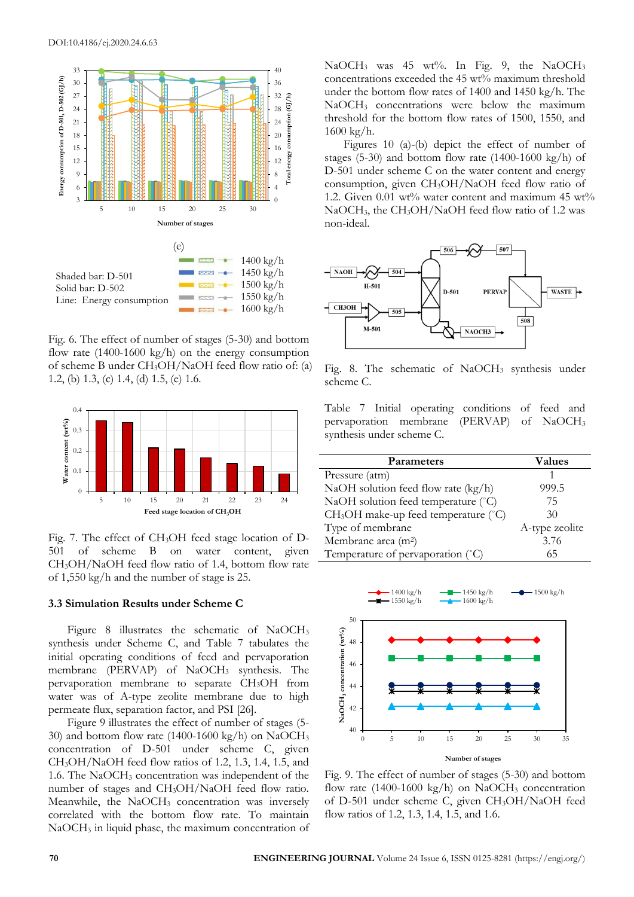

Fig. 6. The effect of number of stages (5-30) and bottom flow rate (1400-1600 kg/h) on the energy consumption of scheme B under CH3OH/NaOH feed flow ratio of: (a) 1.2, (b) 1.3, (c) 1.4, (d) 1.5, (e) 1.6.



Fig. 7. The effect of CH3OH feed stage location of D-501 of scheme B on water content, given CH3OH/NaOH feed flow ratio of 1.4, bottom flow rate of 1,550 kg/h and the number of stage is 25.

## **3.3 Simulation Results under Scheme C**

Figure 8 illustrates the schematic of NaOCH<sub>3</sub> synthesis under Scheme C, and Table 7 tabulates the initial operating conditions of feed and pervaporation membrane (PERVAP) of NaOCH<sub>3</sub> synthesis. The pervaporation membrane to separate CH3OH from water was of A-type zeolite membrane due to high permeate flux, separation factor, and PSI [26].

Figure 9 illustrates the effect of number of stages (5- 30) and bottom flow rate (1400-1600 kg/h) on NaOCH<sup>3</sup> concentration of D-501 under scheme C, given  $CH<sub>3</sub>OH/NaOH$  feed flow ratios of 1.2, 1.3, 1.4, 1.5, and 1.6. The NaOCH<sup>3</sup> concentration was independent of the number of stages and CH<sub>3</sub>OH/NaOH feed flow ratio. Meanwhile, the  $NaOCH<sub>3</sub>$  concentration was inversely correlated with the bottom flow rate. To maintain NaOCH<sup>3</sup> in liquid phase, the maximum concentration of NaOCH<sub>3</sub> was 45 wt%. In Fig. 9, the NaOCH<sub>3</sub> concentrations exceeded the 45 wt% maximum threshold under the bottom flow rates of 1400 and 1450 kg/h. The NaOCH<sup>3</sup> concentrations were below the maximum threshold for the bottom flow rates of 1500, 1550, and 1600 kg/h.

Figures 10 (a)-(b) depict the effect of number of stages (5-30) and bottom flow rate (1400-1600 kg/h) of D-501 under scheme C on the water content and energy consumption, given CH3OH/NaOH feed flow ratio of 1.2. Given  $0.01 \text{ wt}$ % water content and maximum 45 wt% NaOCH<sub>3</sub>, the CH<sub>3</sub>OH/NaOH feed flow ratio of 1.2 was non-ideal.



Fig. 8. The schematic of NaOCH<sub>3</sub> synthesis under scheme C.

Table 7 Initial operating conditions of feed and pervaporation membrane (PERVAP) of NaOCH<sup>3</sup> synthesis under scheme C.

| <b>Parameters</b>                                | Values         |
|--------------------------------------------------|----------------|
| Pressure (atm)                                   |                |
| NaOH solution feed flow rate (kg/h)              | 999.5          |
| NaOH solution feed temperature (°C)              | 75             |
| CH <sub>3</sub> OH make-up feed temperature (°C) | 30             |
| Type of membrane                                 | A-type zeolite |
| Membrane area (m <sup>2</sup> )                  | 3.76           |
| Temperature of pervaporation (°C)                | 65             |



Fig. 9. The effect of number of stages (5-30) and bottom flow rate  $(1400-1600 \text{ kg/h})$  on NaOCH<sub>3</sub> concentration of D-501 under scheme C, given CH3OH/NaOH feed flow ratios of 1.2, 1.3, 1.4, 1.5, and 1.6.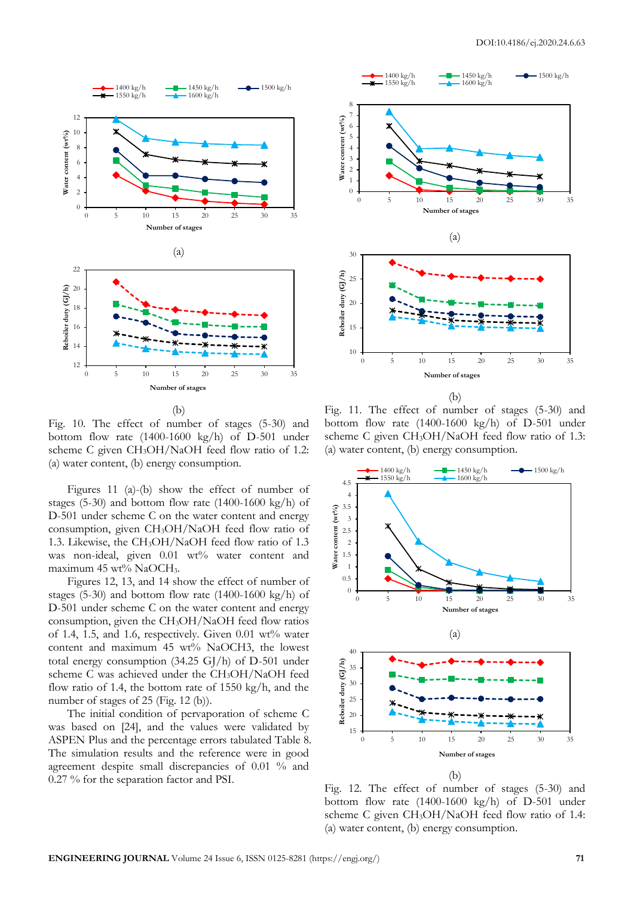

(b)

Fig. 10. The effect of number of stages (5-30) and bottom flow rate (1400-1600 kg/h) of D-501 under scheme C given CH<sub>3</sub>OH/NaOH feed flow ratio of 1.2: (a) water content, (b) energy consumption.

Figures 11 (a)-(b) show the effect of number of stages  $(5-30)$  and bottom flow rate  $(1400-1600 \text{ kg/h})$  of D-501 under scheme C on the water content and energy consumption, given CH3OH/NaOH feed flow ratio of 1.3. Likewise, the CH3OH/NaOH feed flow ratio of 1.3 was non-ideal, given 0.01 wt% water content and maximum 45 wt% NaOCH<sub>3</sub>.

Figures 12, 13, and 14 show the effect of number of stages (5-30) and bottom flow rate (1400-1600 kg/h) of D-501 under scheme C on the water content and energy consumption, given the CH3OH/NaOH feed flow ratios of 1.4, 1.5, and 1.6, respectively. Given  $0.01$  wt% water content and maximum 45 wt% NaOCH3, the lowest total energy consumption (34.25 GJ/h) of D-501 under scheme C was achieved under the CH3OH/NaOH feed flow ratio of 1.4, the bottom rate of 1550 kg/h, and the number of stages of 25 (Fig. 12 (b)).

The initial condition of pervaporation of scheme C was based on [24], and the values were validated by ASPEN Plus and the percentage errors tabulated Table 8. The simulation results and the reference were in good agreement despite small discrepancies of 0.01 % and 0.27 % for the separation factor and PSI.





(b)

Fig. 11. The effect of number of stages (5-30) and bottom flow rate (1400-1600 kg/h) of D-501 under scheme C given CH3OH/NaOH feed flow ratio of 1.3: (a) water content, (b) energy consumption.



Fig. 12. The effect of number of stages (5-30) and bottom flow rate (1400-1600 kg/h) of D-501 under scheme C given CH3OH/NaOH feed flow ratio of 1.4: (a) water content, (b) energy consumption.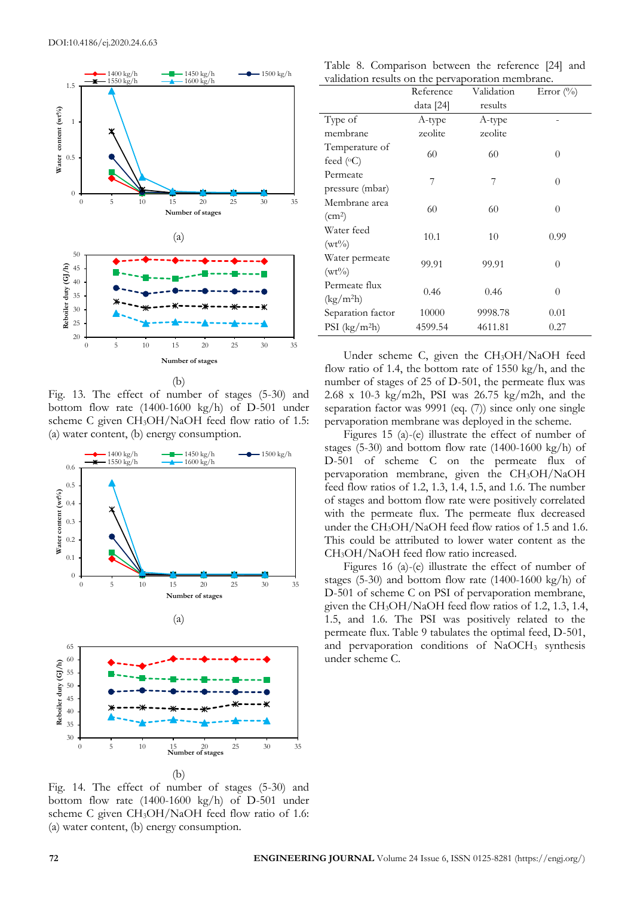

(b)

Fig. 13. The effect of number of stages (5-30) and bottom flow rate (1400-1600 kg/h) of D-501 under scheme C given CH<sub>3</sub>OH/NaOH feed flow ratio of 1.5: (a) water content, (b) energy consumption.



Fig. 14. The effect of number of stages (5-30) and bottom flow rate  $(1400-1600 \text{ kg/h})$  of D-501 under scheme C given CH<sub>3</sub>OH/NaOH feed flow ratio of 1.6: (a) water content, (b) energy consumption.

|  | Table 8. Comparison between the reference [24] and |  |  |  |  |
|--|----------------------------------------------------|--|--|--|--|
|  | validation results on the pervaporation membrane.  |  |  |  |  |

|                                        | Reference | Validation | Error $(\%$ |
|----------------------------------------|-----------|------------|-------------|
|                                        | data [24] | results    |             |
| Type of                                | A-type    | A-type     |             |
| membrane                               | zeolite   | zeolite    |             |
| Temperature of<br>feed $(°C)$          | 60        | 60         | $\theta$    |
| Permeate<br>pressure (mbar)            | 7         | 7          | $\theta$    |
| Membrane area<br>(cm <sup>2</sup> )    | 60        | 60         | 0           |
| Water feed<br>$(wt\%)$                 | 10.1      | 10         | 0.99        |
| Water permeate<br>$(wt\%)$             | 99.91     | 99.91      | $\theta$    |
| Permeate flux<br>(kg/m <sup>2</sup> h) | 0.46      | 0.46       | $\theta$    |
| Separation factor                      | 10000     | 9998.78    | 0.01        |
| PSI $(kg/m2h)$                         | 4599.54   | 4611.81    | 0.27        |

Under scheme C, given the CH3OH/NaOH feed flow ratio of 1.4, the bottom rate of 1550 kg/h, and the number of stages of 25 of D-501, the permeate flux was 2.68 x 10-3 kg/m2h, PSI was 26.75 kg/m2h, and the separation factor was 9991 (eq. (7)) since only one single pervaporation membrane was deployed in the scheme.

Figures 15 (a)-(e) illustrate the effect of number of stages (5-30) and bottom flow rate  $(1400-1600 \text{ kg/h})$  of D-501 of scheme C on the permeate flux of pervaporation membrane, given the CH3OH/NaOH feed flow ratios of 1.2, 1.3, 1.4, 1.5, and 1.6. The number of stages and bottom flow rate were positively correlated with the permeate flux. The permeate flux decreased under the CH<sub>3</sub>OH/NaOH feed flow ratios of 1.5 and 1.6. This could be attributed to lower water content as the CH3OH/NaOH feed flow ratio increased.

Figures 16 (a)-(e) illustrate the effect of number of stages (5-30) and bottom flow rate  $(1400-1600 \text{ kg/h})$  of D-501 of scheme C on PSI of pervaporation membrane, given the  $CH_3OH/NaOH$  feed flow ratios of 1.2, 1.3, 1.4, 1.5, and 1.6. The PSI was positively related to the permeate flux. Table 9 tabulates the optimal feed, D-501, and pervaporation conditions of NaOCH<sub>3</sub> synthesis under scheme C.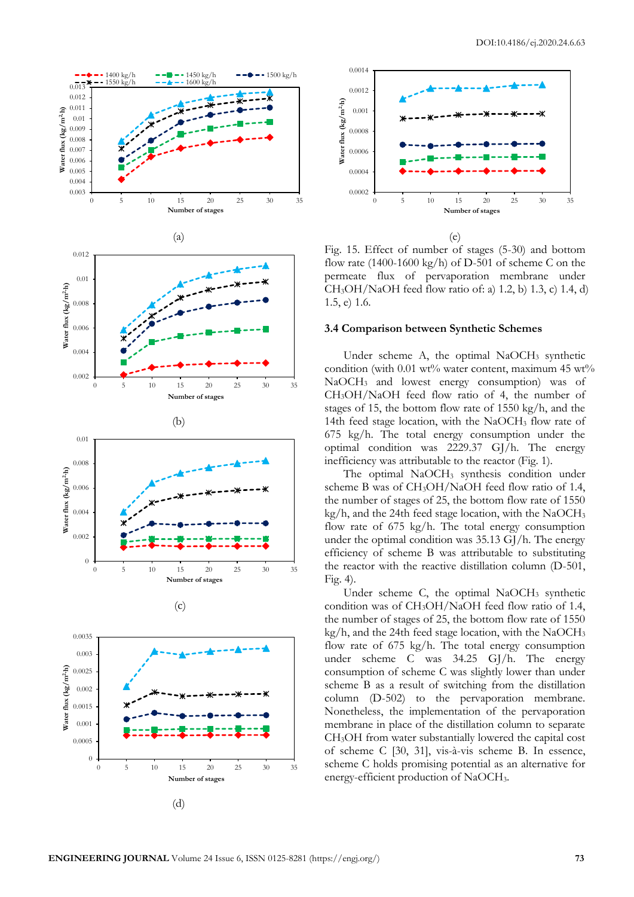





Fig. 15. Effect of number of stages (5-30) and bottom flow rate (1400-1600 kg/h) of D-501 of scheme C on the permeate flux of pervaporation membrane under CH3OH/NaOH feed flow ratio of: a) 1.2, b) 1.3, c) 1.4, d) 1.5, e) 1.6.

#### **3.4 Comparison between Synthetic Schemes**

Under scheme A, the optimal  $NaOCH<sub>3</sub>$  synthetic condition (with 0.01 wt% water content, maximum 45 wt% NaOCH<sup>3</sup> and lowest energy consumption) was of CH3OH/NaOH feed flow ratio of 4, the number of stages of 15, the bottom flow rate of 1550 kg/h, and the 14th feed stage location, with the NaOCH<sub>3</sub> flow rate of 675 kg/h. The total energy consumption under the optimal condition was 2229.37 GJ/h. The energy inefficiency was attributable to the reactor (Fig. 1).

The optimal NaOCH<sub>3</sub> synthesis condition under scheme B was of CH3OH/NaOH feed flow ratio of 1.4, the number of stages of 25, the bottom flow rate of 1550  $kg/h$ , and the 24th feed stage location, with the NaOCH<sub>3</sub> flow rate of 675 kg/h. The total energy consumption under the optimal condition was 35.13 GJ/h. The energy efficiency of scheme B was attributable to substituting the reactor with the reactive distillation column (D-501, Fig. 4).

Under scheme C, the optimal NaOCH<sub>3</sub> synthetic condition was of CH3OH/NaOH feed flow ratio of 1.4, the number of stages of 25, the bottom flow rate of 1550  $kg/h$ , and the 24th feed stage location, with the NaOCH<sub>3</sub> flow rate of 675 kg/h. The total energy consumption under scheme C was 34.25 GJ/h. The energy consumption of scheme C was slightly lower than under scheme B as a result of switching from the distillation column (D-502) to the pervaporation membrane. Nonetheless, the implementation of the pervaporation membrane in place of the distillation column to separate CH3OH from water substantially lowered the capital cost of scheme C [30, 31], vis-à-vis scheme B. In essence, scheme C holds promising potential as an alternative for energy-efficient production of NaOCH3.

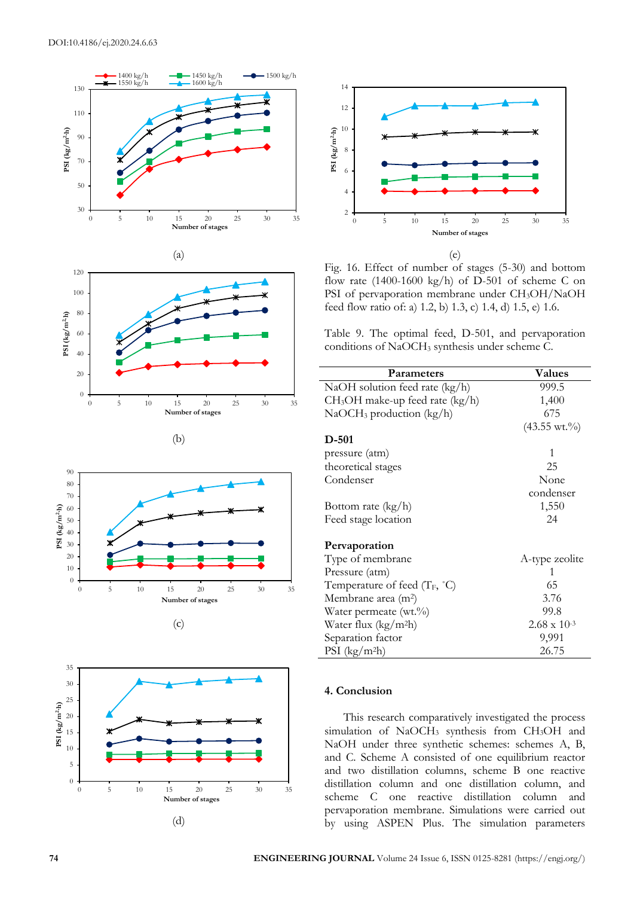









(e)

Fig. 16. Effect of number of stages (5-30) and bottom flow rate (1400-1600 kg/h) of D-501 of scheme C on PSI of pervaporation membrane under CH3OH/NaOH feed flow ratio of: a) 1.2, b) 1.3, c) 1.4, d) 1.5, e) 1.6.

Table 9. The optimal feed, D-501, and pervaporation conditions of NaOCH<sup>3</sup> synthesis under scheme C.

| Parameters                               | Values                  |
|------------------------------------------|-------------------------|
| NaOH solution feed rate (kg/h)           | 999.5                   |
| $CH3OH$ make-up feed rate (kg/h)         | 1,400                   |
| $NaOCH3$ production (kg/h)               | 675                     |
|                                          | $(43.55 \text{ wt.}\%)$ |
| D-501                                    |                         |
| pressure (atm)                           | 1                       |
| theoretical stages                       | 25                      |
| Condenser                                | None                    |
|                                          | condenser               |
| Bottom rate (kg/h)                       | 1,550                   |
| Feed stage location                      | 24                      |
| Pervaporation                            |                         |
| Type of membrane                         | A-type zeolite          |
| Pressure (atm)                           | 1                       |
| Temperature of feed $(T_F, {}^{\circ}C)$ | 65                      |
| Membrane area (m <sup>2</sup> )          | 3.76                    |
| Water permeate (wt.%)                    | 99.8                    |
| Water flux $(kg/m2h)$                    | $2.68 \times 10^{-3}$   |
| Separation factor                        | 9,991                   |
| $PSI$ (kg/m <sup>2</sup> h)              | 26.75                   |

## **4. Conclusion**

This research comparatively investigated the process simulation of NaOCH<sup>3</sup> synthesis from CH3OH and NaOH under three synthetic schemes: schemes A, B, and C. Scheme A consisted of one equilibrium reactor and two distillation columns, scheme B one reactive distillation column and one distillation column, and scheme C one reactive distillation column and pervaporation membrane. Simulations were carried out by using ASPEN Plus. The simulation parameters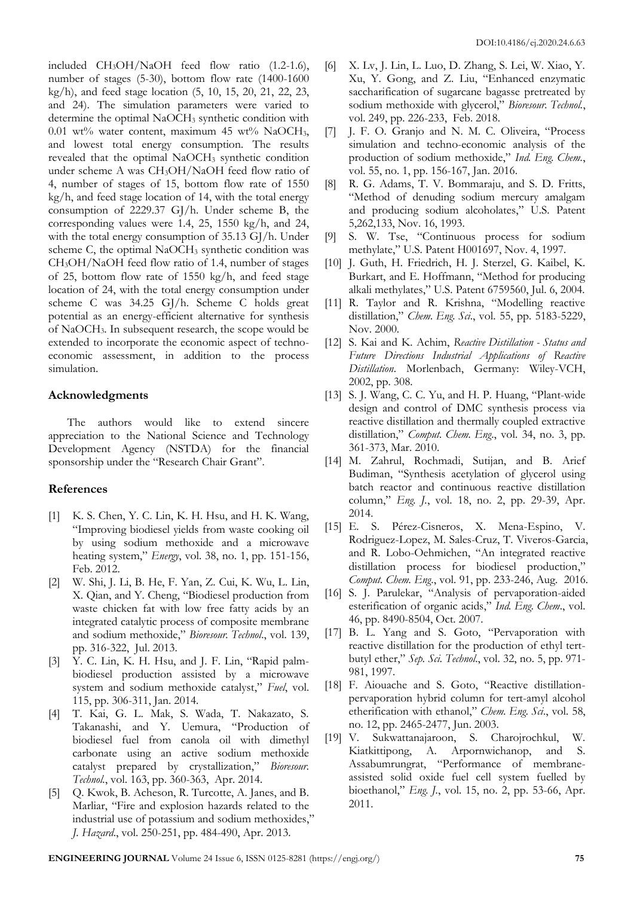included CH3OH/NaOH feed flow ratio (1.2-1.6), number of stages (5-30), bottom flow rate (1400-1600 kg/h), and feed stage location (5, 10, 15, 20, 21, 22, 23, and 24). The simulation parameters were varied to determine the optimal NaOCH<sub>3</sub> synthetic condition with 0.01 wt% water content, maximum 45 wt% NaOCH<sub>3</sub>, and lowest total energy consumption. The results revealed that the optimal NaOCH<sub>3</sub> synthetic condition under scheme A was CH3OH/NaOH feed flow ratio of 4, number of stages of 15, bottom flow rate of 1550 kg/h, and feed stage location of 14, with the total energy consumption of 2229.37 GJ/h. Under scheme B, the corresponding values were 1.4, 25, 1550 kg/h, and 24, with the total energy consumption of 35.13 GJ/h. Under scheme C, the optimal NaOCH<sub>3</sub> synthetic condition was CH3OH/NaOH feed flow ratio of 1.4, number of stages of 25, bottom flow rate of 1550 kg/h, and feed stage location of 24, with the total energy consumption under scheme C was 34.25 GJ/h. Scheme C holds great potential as an energy-efficient alternative for synthesis of NaOCH3. In subsequent research, the scope would be extended to incorporate the economic aspect of technoeconomic assessment, in addition to the process simulation.

## **Acknowledgments**

The authors would like to extend sincere appreciation to the National Science and Technology Development Agency (NSTDA) for the financial sponsorship under the "Research Chair Grant".

## **References**

- [1] K. S. Chen, Y. C. Lin, K. H. Hsu, and H. K. Wang, "Improving biodiesel yields from waste cooking oil by using sodium methoxide and a microwave heating system," *Energy*, vol. 38, no. 1, pp. 151-156, Feb. 2012.
- [2] W. Shi, J. Li, B. He, F. Yan, Z. Cui, K. Wu, L. Lin, X. Qian, and Y. Cheng, "Biodiesel production from waste chicken fat with low free fatty acids by an integrated catalytic process of composite membrane and sodium methoxide," *Bioresour. Technol*., vol. 139, pp. 316-322, Jul. 2013.
- [3] Y. C. Lin, K. H. Hsu, and J. F. Lin, "Rapid palmbiodiesel production assisted by a microwave system and sodium methoxide catalyst," *Fuel*, vol. 115, pp. 306-311, Jan. 2014.
- [4] T. Kai, G. L. Mak, S. Wada, T. Nakazato, S. Takanashi, and Y. Uemura, "Production of biodiesel fuel from canola oil with dimethyl carbonate using an active sodium methoxide catalyst prepared by crystallization," *Bioresour. Technol.*, vol. 163, pp. 360-363, Apr. 2014.
- [5] Q. Kwok, B. Acheson, R. Turcotte, A. Janes, and B. Marliar, "Fire and explosion hazards related to the industrial use of potassium and sodium methoxides," *J. Hazard*., vol. 250-251, pp. 484-490, Apr. 2013.
- [6] X. Lv, J. Lin, L. Luo, D. Zhang, S. Lei, W. Xiao, Y. Xu, Y. Gong, and Z. Liu, "Enhanced enzymatic saccharification of sugarcane bagasse pretreated by sodium methoxide with glycerol," *Bioresour. Technol.*, vol. 249, pp. 226-233, Feb. 2018.
- [7] J. F. O. Granjo and N. M. C. Oliveira, "Process simulation and techno-economic analysis of the production of sodium methoxide," *Ind. Eng. Chem.*, vol. 55, no. 1, pp. 156-167, Jan. 2016.
- [8] R. G. Adams, T. V. Bommaraju, and S. D. Fritts, "Method of denuding sodium mercury amalgam and producing sodium alcoholates," U.S. Patent 5,262,133, Nov. 16, 1993.
- [9] S. W. Tse, "Continuous process for sodium methylate," U.S. Patent H001697, Nov. 4, 1997.
- [10] J. Guth, H. Friedrich, H. J. Sterzel, G. Kaibel, K. Burkart, and E. Hoffmann, "Method for producing alkali methylates," U.S. Patent 6759560, Jul. 6, 2004.
- [11] R. Taylor and R. Krishna, "Modelling reactive distillation," *Chem. Eng. Sci*., vol. 55, pp. 5183-5229, Nov. 2000.
- [12] S. Kai and K. Achim, *Reactive Distillation - Status and Future Directions Industrial Applications of Reactive Distillation*. Morlenbach, Germany: Wiley-VCH, 2002, pp. 308.
- [13] S. J. Wang, C. C. Yu, and H. P. Huang, "Plant-wide design and control of DMC synthesis process via reactive distillation and thermally coupled extractive distillation," *Comput. Chem. Eng*., vol. 34, no. 3, pp. 361-373, Mar. 2010.
- [14] M. Zahrul, Rochmadi, Sutijan, and B. Arief Budiman, "Synthesis acetylation of glycerol using batch reactor and continuous reactive distillation column," *Eng. J.*, vol. 18, no. 2, pp. 29-39, Apr. 2014.
- [15] E. S. Pérez-Cisneros, X. Mena-Espino, V. Rodriguez-Lopez, M. Sales-Cruz, T. Viveros-Garcia, and R. Lobo-Oehmichen, "An integrated reactive distillation process for biodiesel production," *Comput. Chem. Eng*., vol. 91, pp. 233-246, Aug. 2016.
- [16] S. J. Parulekar, "Analysis of pervaporation-aided esterification of organic acids," *Ind. Eng. Chem*., vol. 46, pp. 8490-8504, Oct. 2007.
- [17] B. L. Yang and S. Goto, "Pervaporation with reactive distillation for the production of ethyl tertbutyl ether," *Sep. Sci. Technol*., vol. 32, no. 5, pp. 971- 981, 1997.
- [18] F. Aiouache and S. Goto, "Reactive distillationpervaporation hybrid column for tert-amyl alcohol etherification with ethanol," *Chem. Eng. Sci*., vol. 58, no. 12, pp. 2465-2477, Jun. 2003.
- [19] V. Sukwattanajaroon, S. Charojrochkul, W. Kiatkittipong, A. Arpornwichanop, and S. Assabumrungrat, "Performance of membraneassisted solid oxide fuel cell system fuelled by bioethanol," *Eng. J.*, vol. 15, no. 2, pp. 53-66, Apr. 2011.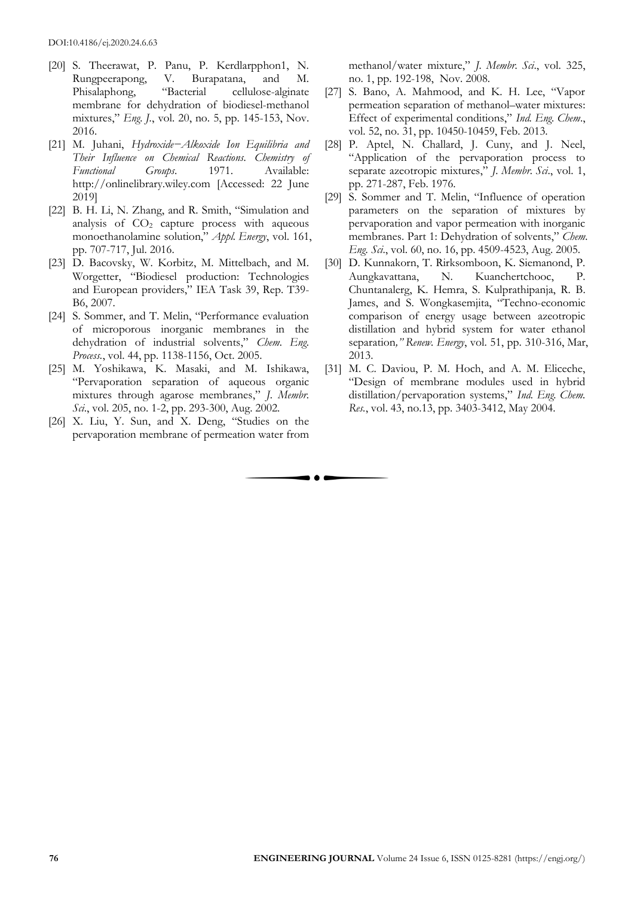- [20] S. Theerawat, P. Panu, P. Kerdlarpphon1, N. Rungpeerapong, V. Burapatana, and M. Phisalaphong, "Bacterial cellulose-alginate membrane for dehydration of biodiesel-methanol mixtures," *Eng. J.*, vol. 20, no. 5, pp. 145-153, Nov. 2016.
- [21] M. Juhani, *Hydroxide−Alkoxide Ion Equilibria and Their Influence on Chemical Reactions. Chemistry of Functional Groups*. 1971. Available: http://onlinelibrary.wiley.com [Accessed: 22 June 2019]
- [22] B. H. Li, N. Zhang, and R. Smith, "Simulation and analysis of  $CO<sub>2</sub>$  capture process with aqueous monoethanolamine solution," *Appl. Energy*, vol. 161, pp. 707-717, Jul. 2016.
- [23] D. Bacovsky, W. Korbitz, M. Mittelbach, and M. Worgetter, "Biodiesel production: Technologies and European providers," IEA Task 39, Rep. T39- B6, 2007.
- [24] S. Sommer, and T. Melin, "Performance evaluation of microporous inorganic membranes in the dehydration of industrial solvents," *Chem. Eng. Process.*, vol. 44, pp. 1138-1156, Oct. 2005.
- [25] M. Yoshikawa, K. Masaki, and M. Ishikawa, "Pervaporation separation of aqueous organic mixtures through agarose membranes," *J. Membr. Sci*., vol. 205, no. 1-2, pp. 293-300, Aug. 2002.
- [26] X. Liu, Y. Sun, and X. Deng, "Studies on the pervaporation membrane of permeation water from

 $\bullet$   $\bullet$ 

methanol/water mixture," *J. Membr. Sci*., vol. 325, no. 1, pp. 192-198, Nov. 2008.

- [27] S. Bano, A. Mahmood, and K. H. Lee, "Vapor permeation separation of methanol–water mixtures: Effect of experimental conditions," *Ind. Eng. Chem*., vol. 52, no. 31, pp. 10450-10459, Feb. 2013.
- [28] P. Aptel, N. Challard, J. Cuny, and J. Neel, "Application of the pervaporation process to separate azeotropic mixtures," *J. Membr. Sci*., vol. 1, pp. 271-287, Feb. 1976.
- [29] S. Sommer and T. Melin, "Influence of operation parameters on the separation of mixtures by pervaporation and vapor permeation with inorganic membranes. Part 1: Dehydration of solvents," *Chem. Eng. Sci*., vol. 60, no. 16, pp. 4509-4523, Aug. 2005.
- [30] D. Kunnakorn, T. Rirksomboon, K. Siemanond, P. Aungkavattana, N. Kuanchertchooc, P. Chuntanalerg, K. Hemra, S. Kulprathipanja, R. B. James, and S. Wongkasemjita, "Techno-economic comparison of energy usage between azeotropic distillation and hybrid system for water ethanol separation*," Renew. Energy*, vol. 51, pp. 310-316, Mar, 2013.
- [31] M. C. Daviou, P. M. Hoch, and A. M. Eliceche, "Design of membrane modules used in hybrid distillation/pervaporation systems," *Ind. Eng. Chem. Res.*, vol. 43, no.13, pp. 3403-3412, May 2004.